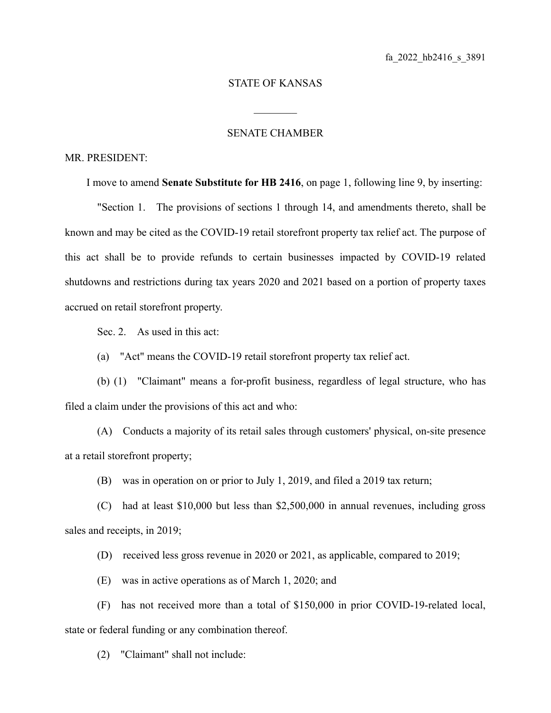## STATE OF KANSAS

 $\mathcal{L}_\text{max}$ 

## SENATE CHAMBER

## MR. PRESIDENT:

I move to amend **Senate Substitute for HB 2416**, on page 1, following line 9, by inserting:

"Section 1. The provisions of sections 1 through 14, and amendments thereto, shall be known and may be cited as the COVID-19 retail storefront property tax relief act. The purpose of this act shall be to provide refunds to certain businesses impacted by COVID-19 related shutdowns and restrictions during tax years 2020 and 2021 based on a portion of property taxes accrued on retail storefront property.

Sec. 2. As used in this act:

(a) "Act" means the COVID-19 retail storefront property tax relief act.

(b) (1) "Claimant" means a for-profit business, regardless of legal structure, who has filed a claim under the provisions of this act and who:

(A) Conducts a majority of its retail sales through customers' physical, on-site presence at a retail storefront property;

(B) was in operation on or prior to July 1, 2019, and filed a 2019 tax return;

(C) had at least \$10,000 but less than \$2,500,000 in annual revenues, including gross sales and receipts, in 2019;

(D) received less gross revenue in 2020 or 2021, as applicable, compared to 2019;

(E) was in active operations as of March 1, 2020; and

(F) has not received more than a total of \$150,000 in prior COVID-19-related local, state or federal funding or any combination thereof.

(2) "Claimant" shall not include: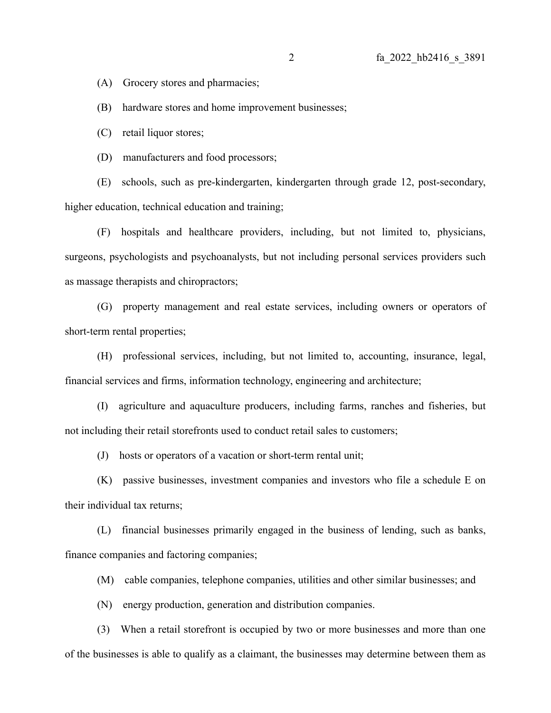(A) Grocery stores and pharmacies;

(B) hardware stores and home improvement businesses;

(C) retail liquor stores;

(D) manufacturers and food processors;

(E) schools, such as pre-kindergarten, kindergarten through grade 12, post-secondary, higher education, technical education and training;

(F) hospitals and healthcare providers, including, but not limited to, physicians, surgeons, psychologists and psychoanalysts, but not including personal services providers such as massage therapists and chiropractors;

(G) property management and real estate services, including owners or operators of short-term rental properties;

(H) professional services, including, but not limited to, accounting, insurance, legal, financial services and firms, information technology, engineering and architecture;

(I) agriculture and aquaculture producers, including farms, ranches and fisheries, but not including their retail storefronts used to conduct retail sales to customers;

(J) hosts or operators of a vacation or short-term rental unit;

(K) passive businesses, investment companies and investors who file a schedule E on their individual tax returns;

(L) financial businesses primarily engaged in the business of lending, such as banks, finance companies and factoring companies;

(M) cable companies, telephone companies, utilities and other similar businesses; and

(N) energy production, generation and distribution companies.

(3) When a retail storefront is occupied by two or more businesses and more than one of the businesses is able to qualify as a claimant, the businesses may determine between them as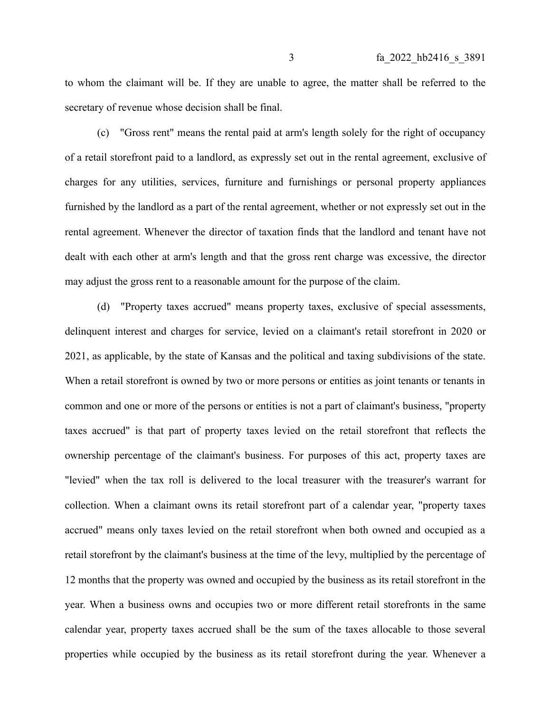to whom the claimant will be. If they are unable to agree, the matter shall be referred to the secretary of revenue whose decision shall be final.

(c) "Gross rent" means the rental paid at arm's length solely for the right of occupancy of a retail storefront paid to a landlord, as expressly set out in the rental agreement, exclusive of charges for any utilities, services, furniture and furnishings or personal property appliances furnished by the landlord as a part of the rental agreement, whether or not expressly set out in the rental agreement. Whenever the director of taxation finds that the landlord and tenant have not dealt with each other at arm's length and that the gross rent charge was excessive, the director may adjust the gross rent to a reasonable amount for the purpose of the claim.

(d) "Property taxes accrued" means property taxes, exclusive of special assessments, delinquent interest and charges for service, levied on a claimant's retail storefront in 2020 or 2021, as applicable, by the state of Kansas and the political and taxing subdivisions of the state. When a retail storefront is owned by two or more persons or entities as joint tenants or tenants in common and one or more of the persons or entities is not a part of claimant's business, "property taxes accrued" is that part of property taxes levied on the retail storefront that reflects the ownership percentage of the claimant's business. For purposes of this act, property taxes are "levied" when the tax roll is delivered to the local treasurer with the treasurer's warrant for collection. When a claimant owns its retail storefront part of a calendar year, "property taxes accrued" means only taxes levied on the retail storefront when both owned and occupied as a retail storefront by the claimant's business at the time of the levy, multiplied by the percentage of 12 months that the property was owned and occupied by the business as its retail storefront in the year. When a business owns and occupies two or more different retail storefronts in the same calendar year, property taxes accrued shall be the sum of the taxes allocable to those several properties while occupied by the business as its retail storefront during the year. Whenever a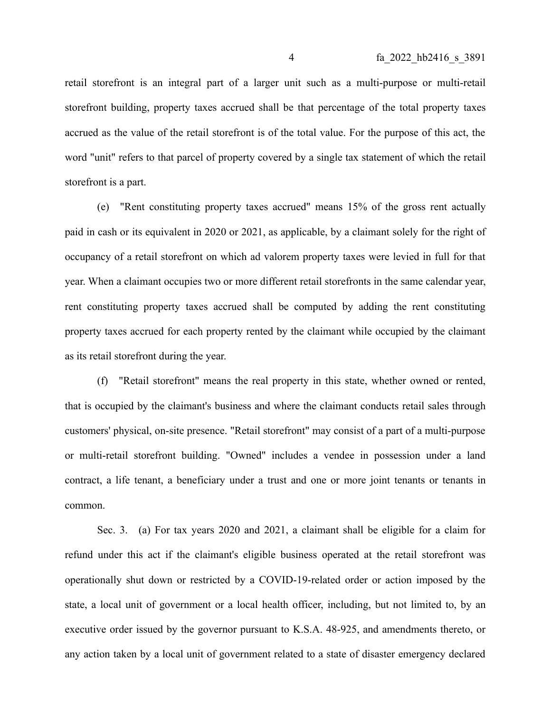retail storefront is an integral part of a larger unit such as a multi-purpose or multi-retail storefront building, property taxes accrued shall be that percentage of the total property taxes accrued as the value of the retail storefront is of the total value. For the purpose of this act, the word "unit" refers to that parcel of property covered by a single tax statement of which the retail storefront is a part.

(e) "Rent constituting property taxes accrued" means 15% of the gross rent actually paid in cash or its equivalent in 2020 or 2021, as applicable, by a claimant solely for the right of occupancy of a retail storefront on which ad valorem property taxes were levied in full for that year. When a claimant occupies two or more different retail storefronts in the same calendar year, rent constituting property taxes accrued shall be computed by adding the rent constituting property taxes accrued for each property rented by the claimant while occupied by the claimant as its retail storefront during the year.

(f) "Retail storefront" means the real property in this state, whether owned or rented, that is occupied by the claimant's business and where the claimant conducts retail sales through customers' physical, on-site presence. "Retail storefront" may consist of a part of a multi-purpose or multi-retail storefront building. "Owned" includes a vendee in possession under a land contract, a life tenant, a beneficiary under a trust and one or more joint tenants or tenants in common.

Sec. 3. (a) For tax years 2020 and 2021, a claimant shall be eligible for a claim for refund under this act if the claimant's eligible business operated at the retail storefront was operationally shut down or restricted by a COVID-19-related order or action imposed by the state, a local unit of government or a local health officer, including, but not limited to, by an executive order issued by the governor pursuant to K.S.A. 48-925, and amendments thereto, or any action taken by a local unit of government related to a state of disaster emergency declared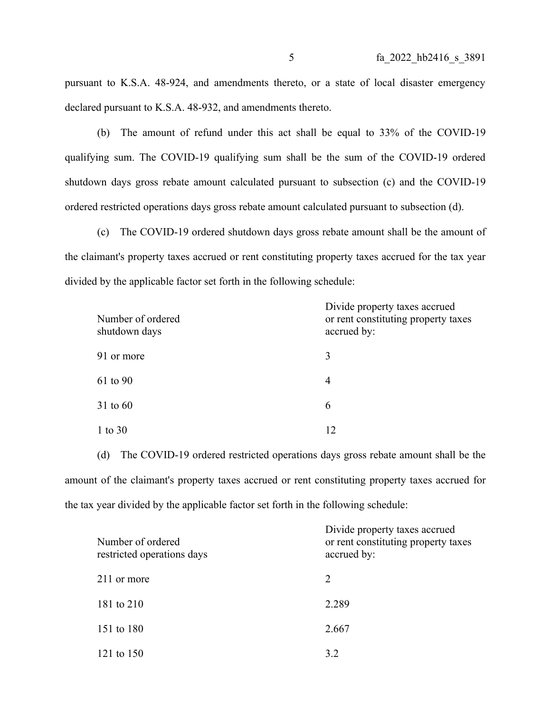pursuant to K.S.A. 48-924, and amendments thereto, or a state of local disaster emergency declared pursuant to K.S.A. 48-932, and amendments thereto.

(b) The amount of refund under this act shall be equal to 33% of the COVID-19 qualifying sum. The COVID-19 qualifying sum shall be the sum of the COVID-19 ordered shutdown days gross rebate amount calculated pursuant to subsection (c) and the COVID-19 ordered restricted operations days gross rebate amount calculated pursuant to subsection (d).

(c) The COVID-19 ordered shutdown days gross rebate amount shall be the amount of the claimant's property taxes accrued or rent constituting property taxes accrued for the tax year divided by the applicable factor set forth in the following schedule:

| Number of ordered<br>shutdown days | Divide property taxes accrued<br>or rent constituting property taxes<br>accrued by: |
|------------------------------------|-------------------------------------------------------------------------------------|
| 91 or more                         | 3                                                                                   |
| 61 to 90                           | $\overline{4}$                                                                      |
| $31$ to 60                         | 6                                                                                   |
| 1 to 30                            | 12                                                                                  |

(d) The COVID-19 ordered restricted operations days gross rebate amount shall be the amount of the claimant's property taxes accrued or rent constituting property taxes accrued for the tax year divided by the applicable factor set forth in the following schedule:

| Number of ordered<br>restricted operations days | Divide property taxes accrued<br>or rent constituting property taxes<br>accrued by: |  |
|-------------------------------------------------|-------------------------------------------------------------------------------------|--|
| 211 or more                                     | 2                                                                                   |  |
| 181 to 210                                      | 2.289                                                                               |  |
| 151 to 180                                      | 2.667                                                                               |  |
| 121 to 150                                      | 3.2                                                                                 |  |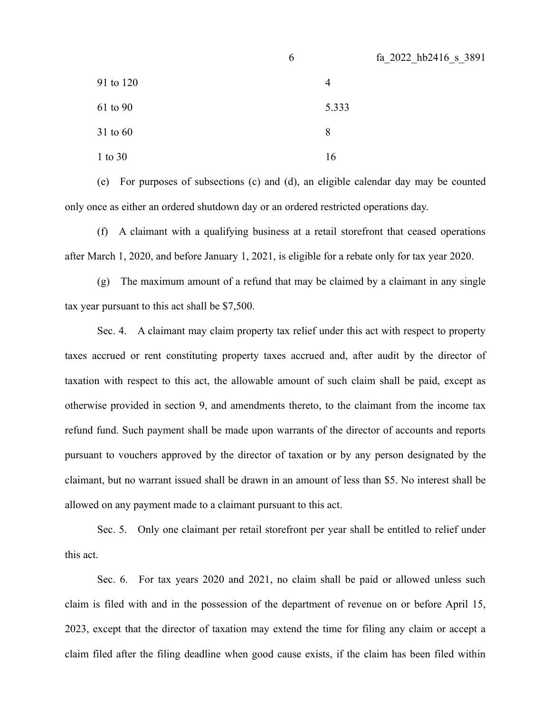|           | 6              | fa 2022 hb2416 s 3891 |
|-----------|----------------|-----------------------|
| 91 to 120 | $\overline{4}$ |                       |
| 61 to 90  | 5.333          |                       |
| 31 to 60  | 8              |                       |
| 1 to 30   | 16             |                       |

(e) For purposes of subsections (c) and (d), an eligible calendar day may be counted only once as either an ordered shutdown day or an ordered restricted operations day.

(f) A claimant with a qualifying business at a retail storefront that ceased operations after March 1, 2020, and before January 1, 2021, is eligible for a rebate only for tax year 2020.

(g) The maximum amount of a refund that may be claimed by a claimant in any single tax year pursuant to this act shall be \$7,500.

Sec. 4. A claimant may claim property tax relief under this act with respect to property taxes accrued or rent constituting property taxes accrued and, after audit by the director of taxation with respect to this act, the allowable amount of such claim shall be paid, except as otherwise provided in section 9, and amendments thereto, to the claimant from the income tax refund fund. Such payment shall be made upon warrants of the director of accounts and reports pursuant to vouchers approved by the director of taxation or by any person designated by the claimant, but no warrant issued shall be drawn in an amount of less than \$5. No interest shall be allowed on any payment made to a claimant pursuant to this act.

Sec. 5. Only one claimant per retail storefront per year shall be entitled to relief under this act.

Sec. 6. For tax years 2020 and 2021, no claim shall be paid or allowed unless such claim is filed with and in the possession of the department of revenue on or before April 15, 2023, except that the director of taxation may extend the time for filing any claim or accept a claim filed after the filing deadline when good cause exists, if the claim has been filed within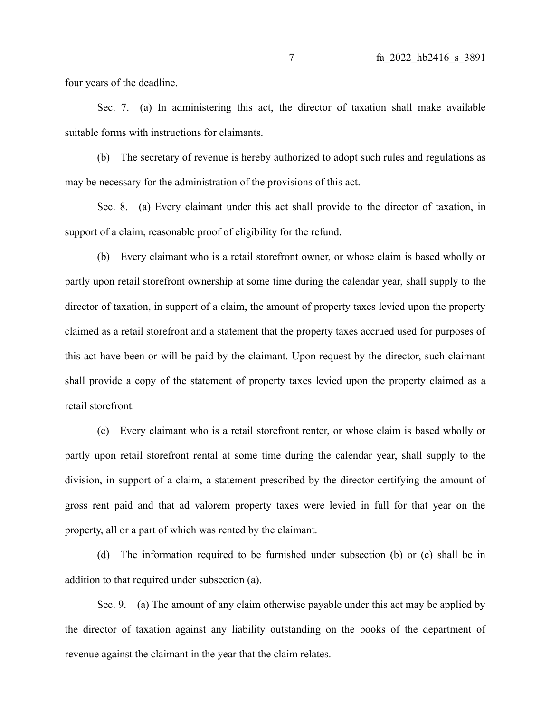four years of the deadline.

Sec. 7. (a) In administering this act, the director of taxation shall make available suitable forms with instructions for claimants.

(b) The secretary of revenue is hereby authorized to adopt such rules and regulations as may be necessary for the administration of the provisions of this act.

Sec. 8. (a) Every claimant under this act shall provide to the director of taxation, in support of a claim, reasonable proof of eligibility for the refund.

(b) Every claimant who is a retail storefront owner, or whose claim is based wholly or partly upon retail storefront ownership at some time during the calendar year, shall supply to the director of taxation, in support of a claim, the amount of property taxes levied upon the property claimed as a retail storefront and a statement that the property taxes accrued used for purposes of this act have been or will be paid by the claimant. Upon request by the director, such claimant shall provide a copy of the statement of property taxes levied upon the property claimed as a retail storefront.

(c) Every claimant who is a retail storefront renter, or whose claim is based wholly or partly upon retail storefront rental at some time during the calendar year, shall supply to the division, in support of a claim, a statement prescribed by the director certifying the amount of gross rent paid and that ad valorem property taxes were levied in full for that year on the property, all or a part of which was rented by the claimant.

(d) The information required to be furnished under subsection (b) or (c) shall be in addition to that required under subsection (a).

Sec. 9. (a) The amount of any claim otherwise payable under this act may be applied by the director of taxation against any liability outstanding on the books of the department of revenue against the claimant in the year that the claim relates.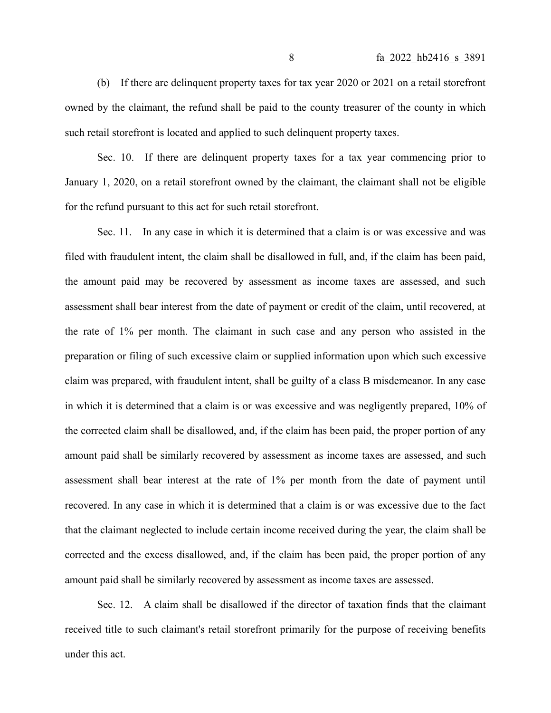(b) If there are delinquent property taxes for tax year 2020 or 2021 on a retail storefront owned by the claimant, the refund shall be paid to the county treasurer of the county in which such retail storefront is located and applied to such delinquent property taxes.

Sec. 10. If there are delinquent property taxes for a tax year commencing prior to January 1, 2020, on a retail storefront owned by the claimant, the claimant shall not be eligible for the refund pursuant to this act for such retail storefront.

Sec. 11. In any case in which it is determined that a claim is or was excessive and was filed with fraudulent intent, the claim shall be disallowed in full, and, if the claim has been paid, the amount paid may be recovered by assessment as income taxes are assessed, and such assessment shall bear interest from the date of payment or credit of the claim, until recovered, at the rate of 1% per month. The claimant in such case and any person who assisted in the preparation or filing of such excessive claim or supplied information upon which such excessive claim was prepared, with fraudulent intent, shall be guilty of a class B misdemeanor. In any case in which it is determined that a claim is or was excessive and was negligently prepared, 10% of the corrected claim shall be disallowed, and, if the claim has been paid, the proper portion of any amount paid shall be similarly recovered by assessment as income taxes are assessed, and such assessment shall bear interest at the rate of 1% per month from the date of payment until recovered. In any case in which it is determined that a claim is or was excessive due to the fact that the claimant neglected to include certain income received during the year, the claim shall be corrected and the excess disallowed, and, if the claim has been paid, the proper portion of any amount paid shall be similarly recovered by assessment as income taxes are assessed.

Sec. 12. A claim shall be disallowed if the director of taxation finds that the claimant received title to such claimant's retail storefront primarily for the purpose of receiving benefits under this act.